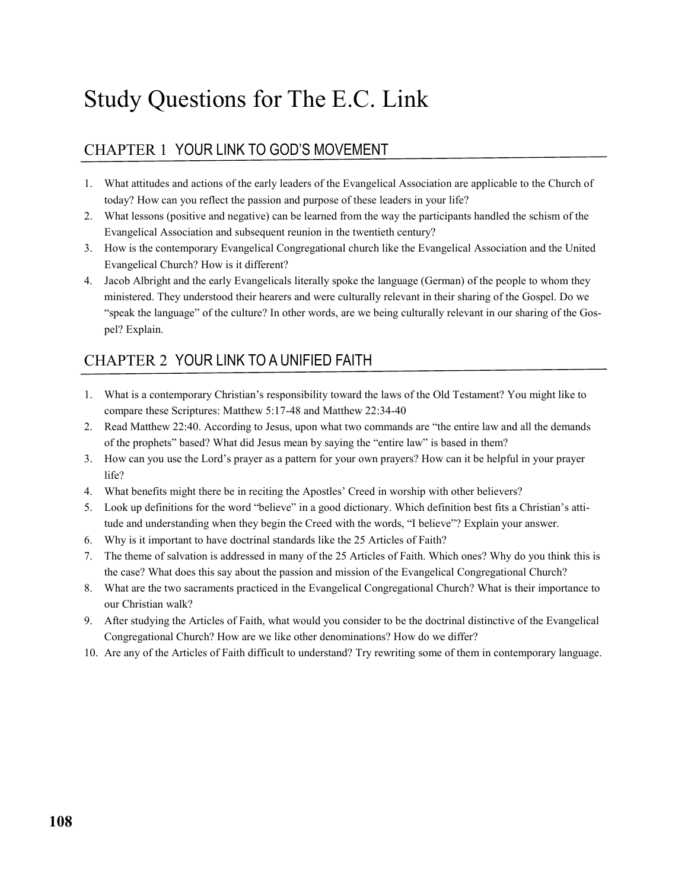# Study Questions for The E.C. Link

## CHAPTER 1 YOUR LINK TO GOD'S MOVEMENT

- 1. What attitudes and actions of the early leaders of the Evangelical Association are applicable to the Church of today? How can you reflect the passion and purpose of these leaders in your life?
- 2. What lessons (positive and negative) can be learned from the way the participants handled the schism of the Evangelical Association and subsequent reunion in the twentieth century?
- 3. How is the contemporary Evangelical Congregational church like the Evangelical Association and the United Evangelical Church? How is it different?
- 4. Jacob Albright and the early Evangelicals literally spoke the language (German) of the people to whom they ministered. They understood their hearers and were culturally relevant in their sharing of the Gospel. Do we "speak the language" of the culture? In other words, are we being culturally relevant in our sharing of the Gospel? Explain.

## CHAPTER 2 YOUR LINK TO A UNIFIED FAITH

- 1. What is a contemporary Christian's responsibility toward the laws of the Old Testament? You might like to compare these Scriptures: Matthew 5:17-48 and Matthew 22:34-40
- 2. Read Matthew 22:40. According to Jesus, upon what two commands are "the entire law and all the demands of the prophets" based? What did Jesus mean by saying the "entire law" is based in them?
- 3. How can you use the Lord's prayer as a pattern for your own prayers? How can it be helpful in your prayer life?
- 4. What benefits might there be in reciting the Apostles' Creed in worship with other believers?
- 5. Look up definitions for the word "believe" in a good dictionary. Which definition best fits a Christian's attitude and understanding when they begin the Creed with the words, "I believe"? Explain your answer.
- 6. Why is it important to have doctrinal standards like the 25 Articles of Faith?
- 7. The theme of salvation is addressed in many of the 25 Articles of Faith. Which ones? Why do you think this is the case? What does this say about the passion and mission of the Evangelical Congregational Church?
- 8. What are the two sacraments practiced in the Evangelical Congregational Church? What is their importance to our Christian walk?
- 9. After studying the Articles of Faith, what would you consider to be the doctrinal distinctive of the Evangelical Congregational Church? How are we like other denominations? How do we differ?
- 10. Are any of the Articles of Faith difficult to understand? Try rewriting some of them in contemporary language.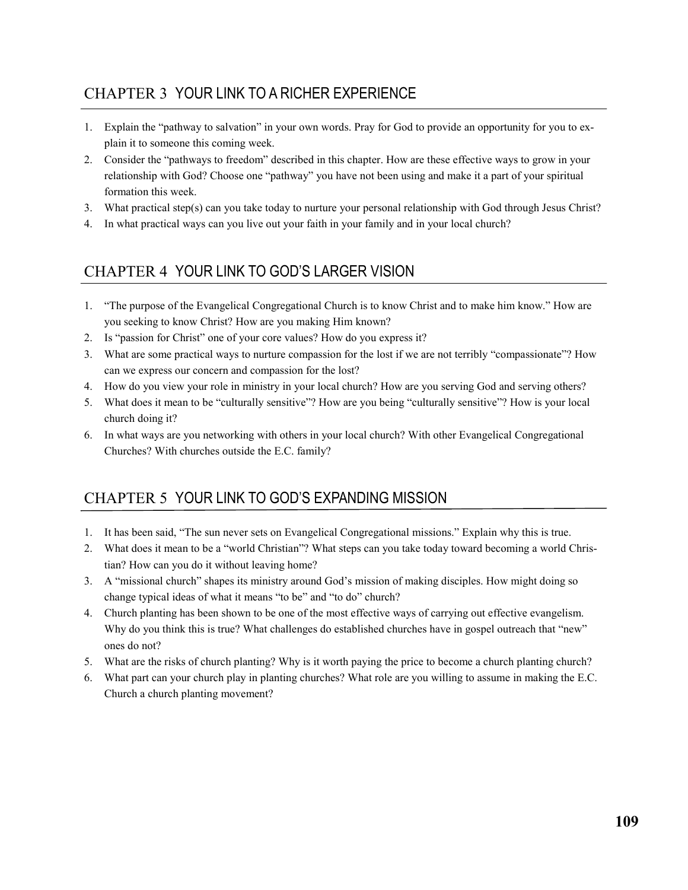## CHAPTER 3 YOUR LINK TO A RICHER EXPERIENCE

- 1. Explain the "pathway to salvation" in your own words. Pray for God to provide an opportunity for you to explain it to someone this coming week.
- 2. Consider the "pathways to freedom" described in this chapter. How are these effective ways to grow in your relationship with God? Choose one "pathway" you have not been using and make it a part of your spiritual formation this week.
- 3. What practical step(s) can you take today to nurture your personal relationship with God through Jesus Christ?
- 4. In what practical ways can you live out your faith in your family and in your local church?

## CHAPTER 4 YOUR LINK TO GOD'S LARGER VISION

- 1. "The purpose of the Evangelical Congregational Church is to know Christ and to make him know." How are you seeking to know Christ? How are you making Him known?
- 2. Is "passion for Christ" one of your core values? How do you express it?
- 3. What are some practical ways to nurture compassion for the lost if we are not terribly "compassionate"? How can we express our concern and compassion for the lost?
- 4. How do you view your role in ministry in your local church? How are you serving God and serving others?
- 5. What does it mean to be "culturally sensitive"? How are you being "culturally sensitive"? How is your local church doing it?
- 6. In what ways are you networking with others in your local church? With other Evangelical Congregational Churches? With churches outside the E.C. family?

## CHAPTER 5 YOUR LINK TO GOD'S EXPANDING MISSION

- 1. It has been said, "The sun never sets on Evangelical Congregational missions." Explain why this is true.
- 2. What does it mean to be a "world Christian"? What steps can you take today toward becoming a world Christian? How can you do it without leaving home?
- 3. A "missional church" shapes its ministry around God's mission of making disciples. How might doing so change typical ideas of what it means "to be" and "to do" church?
- 4. Church planting has been shown to be one of the most effective ways of carrying out effective evangelism. Why do you think this is true? What challenges do established churches have in gospel outreach that "new" ones do not?
- 5. What are the risks of church planting? Why is it worth paying the price to become a church planting church?
- 6. What part can your church play in planting churches? What role are you willing to assume in making the E.C. Church a church planting movement?